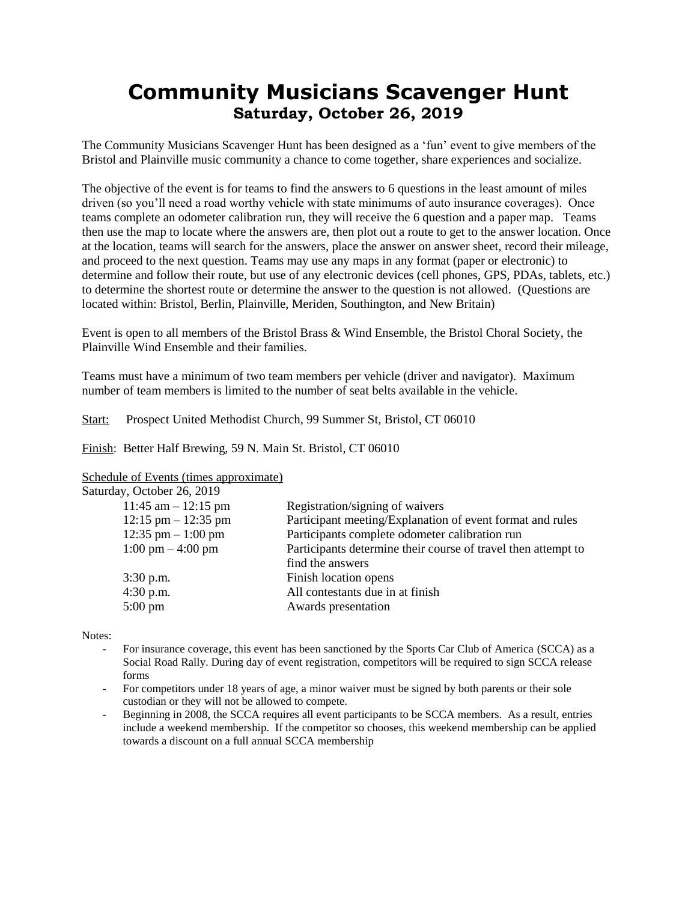## **Community Musicians Scavenger Hunt Saturday, October 26, 2019**

The Community Musicians Scavenger Hunt has been designed as a 'fun' event to give members of the Bristol and Plainville music community a chance to come together, share experiences and socialize.

The objective of the event is for teams to find the answers to 6 questions in the least amount of miles driven (so you'll need a road worthy vehicle with state minimums of auto insurance coverages). Once teams complete an odometer calibration run, they will receive the 6 question and a paper map. Teams then use the map to locate where the answers are, then plot out a route to get to the answer location. Once at the location, teams will search for the answers, place the answer on answer sheet, record their mileage, and proceed to the next question. Teams may use any maps in any format (paper or electronic) to determine and follow their route, but use of any electronic devices (cell phones, GPS, PDAs, tablets, etc.) to determine the shortest route or determine the answer to the question is not allowed. (Questions are located within: Bristol, Berlin, Plainville, Meriden, Southington, and New Britain)

Event is open to all members of the Bristol Brass & Wind Ensemble, the Bristol Choral Society, the Plainville Wind Ensemble and their families.

Teams must have a minimum of two team members per vehicle (driver and navigator). Maximum number of team members is limited to the number of seat belts available in the vehicle.

Start: Prospect United Methodist Church, 99 Summer St, Bristol, CT 06010

Finish: Better Half Brewing, 59 N. Main St. Bristol, CT 06010

Schedule of Events (times approximate)

| Saturday, October 26, 2019 |  |  |  |
|----------------------------|--|--|--|
|----------------------------|--|--|--|

| 11:45 am $-$ 12:15 pm               | Registration/signing of waivers                               |
|-------------------------------------|---------------------------------------------------------------|
| $12:15$ pm $- 12:35$ pm             | Participant meeting/Explanation of event format and rules     |
| 12:35 pm $-1:00$ pm                 | Participants complete odometer calibration run                |
| $1:00 \text{ pm} - 4:00 \text{ pm}$ | Participants determine their course of travel then attempt to |
|                                     | find the answers                                              |
| $3:30$ p.m.                         | Finish location opens                                         |
| $4:30$ p.m.                         | All contestants due in at finish                              |
| $5:00 \text{ pm}$                   | Awards presentation                                           |
|                                     |                                                               |

Notes:

- For insurance coverage, this event has been sanctioned by the Sports Car Club of America (SCCA) as a Social Road Rally. During day of event registration, competitors will be required to sign SCCA release forms
- For competitors under 18 years of age, a minor waiver must be signed by both parents or their sole custodian or they will not be allowed to compete.
- Beginning in 2008, the SCCA requires all event participants to be SCCA members. As a result, entries include a weekend membership. If the competitor so chooses, this weekend membership can be applied towards a discount on a full annual SCCA membership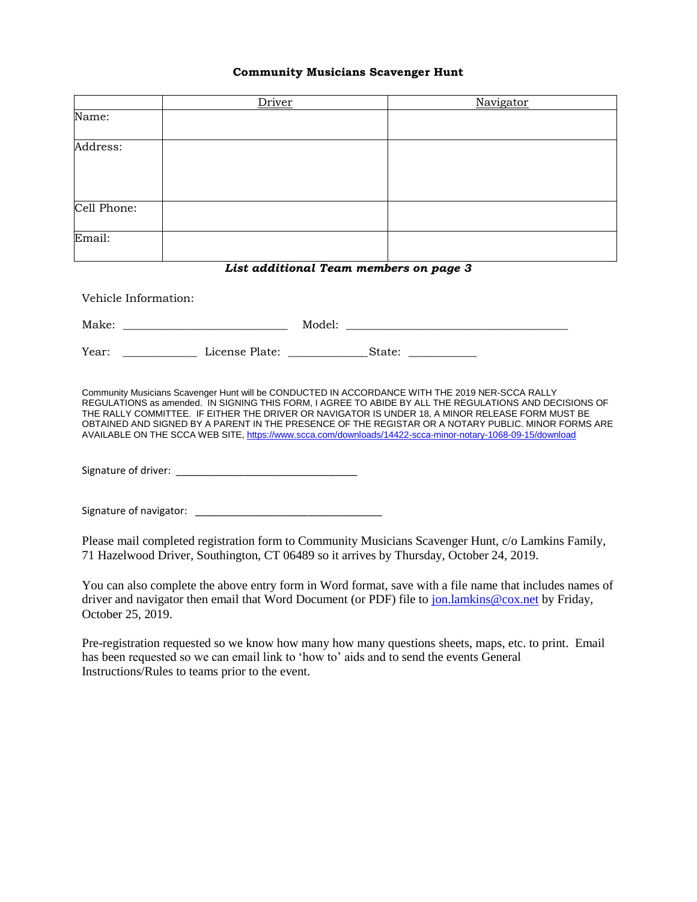## **Community Musicians Scavenger Hunt**

|                                                                                                                                                                                                                                                                                                                                                                                                                                                                                                                                    | Driver | Navigator                                                                                                                                                                                     |  |  |  |  |
|------------------------------------------------------------------------------------------------------------------------------------------------------------------------------------------------------------------------------------------------------------------------------------------------------------------------------------------------------------------------------------------------------------------------------------------------------------------------------------------------------------------------------------|--------|-----------------------------------------------------------------------------------------------------------------------------------------------------------------------------------------------|--|--|--|--|
| Name:                                                                                                                                                                                                                                                                                                                                                                                                                                                                                                                              |        |                                                                                                                                                                                               |  |  |  |  |
| Address:                                                                                                                                                                                                                                                                                                                                                                                                                                                                                                                           |        |                                                                                                                                                                                               |  |  |  |  |
|                                                                                                                                                                                                                                                                                                                                                                                                                                                                                                                                    |        |                                                                                                                                                                                               |  |  |  |  |
| Cell Phone:                                                                                                                                                                                                                                                                                                                                                                                                                                                                                                                        |        |                                                                                                                                                                                               |  |  |  |  |
| Email:                                                                                                                                                                                                                                                                                                                                                                                                                                                                                                                             |        |                                                                                                                                                                                               |  |  |  |  |
|                                                                                                                                                                                                                                                                                                                                                                                                                                                                                                                                    |        | List additional Team members on page 3                                                                                                                                                        |  |  |  |  |
| Vehicle Information:                                                                                                                                                                                                                                                                                                                                                                                                                                                                                                               |        |                                                                                                                                                                                               |  |  |  |  |
|                                                                                                                                                                                                                                                                                                                                                                                                                                                                                                                                    |        |                                                                                                                                                                                               |  |  |  |  |
|                                                                                                                                                                                                                                                                                                                                                                                                                                                                                                                                    |        |                                                                                                                                                                                               |  |  |  |  |
| Community Musicians Scavenger Hunt will be CONDUCTED IN ACCORDANCE WITH THE 2019 NER-SCCA RALLY<br>REGULATIONS as amended. IN SIGNING THIS FORM, I AGREE TO ABIDE BY ALL THE REGULATIONS AND DECISIONS OF<br>THE RALLY COMMITTEE. IF EITHER THE DRIVER OR NAVIGATOR IS UNDER 18, A MINOR RELEASE FORM MUST BE<br>OBTAINED AND SIGNED BY A PARENT IN THE PRESENCE OF THE REGISTAR OR A NOTARY PUBLIC. MINOR FORMS ARE<br>AVAILABLE ON THE SCCA WEB SITE, https://www.scca.com/downloads/14422-scca-minor-notary-1068-09-15/download |        |                                                                                                                                                                                               |  |  |  |  |
|                                                                                                                                                                                                                                                                                                                                                                                                                                                                                                                                    |        |                                                                                                                                                                                               |  |  |  |  |
|                                                                                                                                                                                                                                                                                                                                                                                                                                                                                                                                    |        |                                                                                                                                                                                               |  |  |  |  |
|                                                                                                                                                                                                                                                                                                                                                                                                                                                                                                                                    |        | Please mail completed registration form to Community Musicians Scavenger Hunt, c/o Lamkins Family,<br>71 Hazelwood Driver, Southington, CT 06489 so it arrives by Thursday, October 24, 2019. |  |  |  |  |
| You can also complete the above entry form in Word format, save with a file name that includes names of<br>driver and navigator then email that Word Document (or PDF) file to jon.lamkins@cox.net by Friday,<br>October 25, 2019.                                                                                                                                                                                                                                                                                                 |        |                                                                                                                                                                                               |  |  |  |  |

Pre-registration requested so we know how many how many questions sheets, maps, etc. to print. Email has been requested so we can email link to 'how to' aids and to send the events General Instructions/Rules to teams prior to the event.